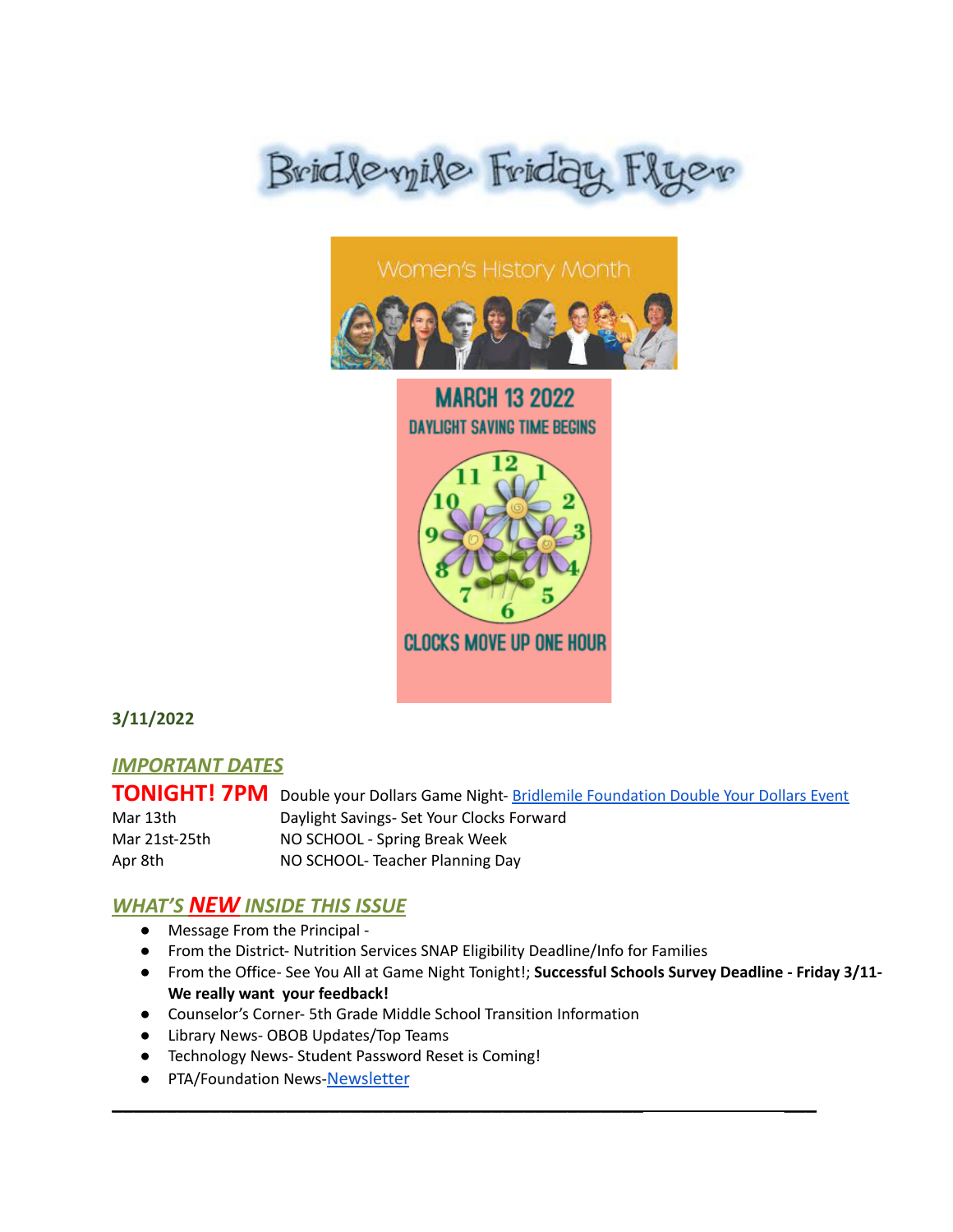



# **MARCH 13 2022 DAYLIGHT SAVING TIME BEGINS**



## **3/11/2022**

## *IMPORTANT DATES*

**TONIGHT! 7PM** Double your Dollars Game Night- Bridlemile [Foundation](https://bridlemileschool.org/auction) Double Your Dollars Event Mar 13th Daylight Savings- Set Your Clocks Forward Mar 21st-25th NO SCHOOL - Spring Break Week Apr 8th NO SCHOOL- Teacher Planning Day

\_\_\_\_\_\_\_\_\_\_\_\_\_\_\_\_\_\_\_\_\_\_\_\_\_\_\_\_\_\_\_\_\_\_\_\_\_\_\_\_\_\_\_\_\_\_\_\_\_ \_\_\_

## *WHAT'S NEW INSIDE THIS ISSUE*

- Message From the Principal -
- From the District- Nutrition Services SNAP Eligibility Deadline/Info for Families
- From the Office- See You All at Game Night Tonight!; **Successful Schools Survey Deadline - Friday 3/11- We really want your feedback!**
- Counselor's Corner- 5th Grade Middle School Transition Information
- Library News- OBOB Updates/Top Teams
- Technology News- Student Password Reset is Coming!
- PTA/Foundation News-[Newsletter](https://docs.google.com/document/u/1/d/e/2PACX-1vQlZCPHtKxqO7qpJwiwgoeaZ1ERHVLgg6z0JNYJMTulwn7xlOVY_X2I1ZV9nntsGHP57LEZ_uSufaFj/pub)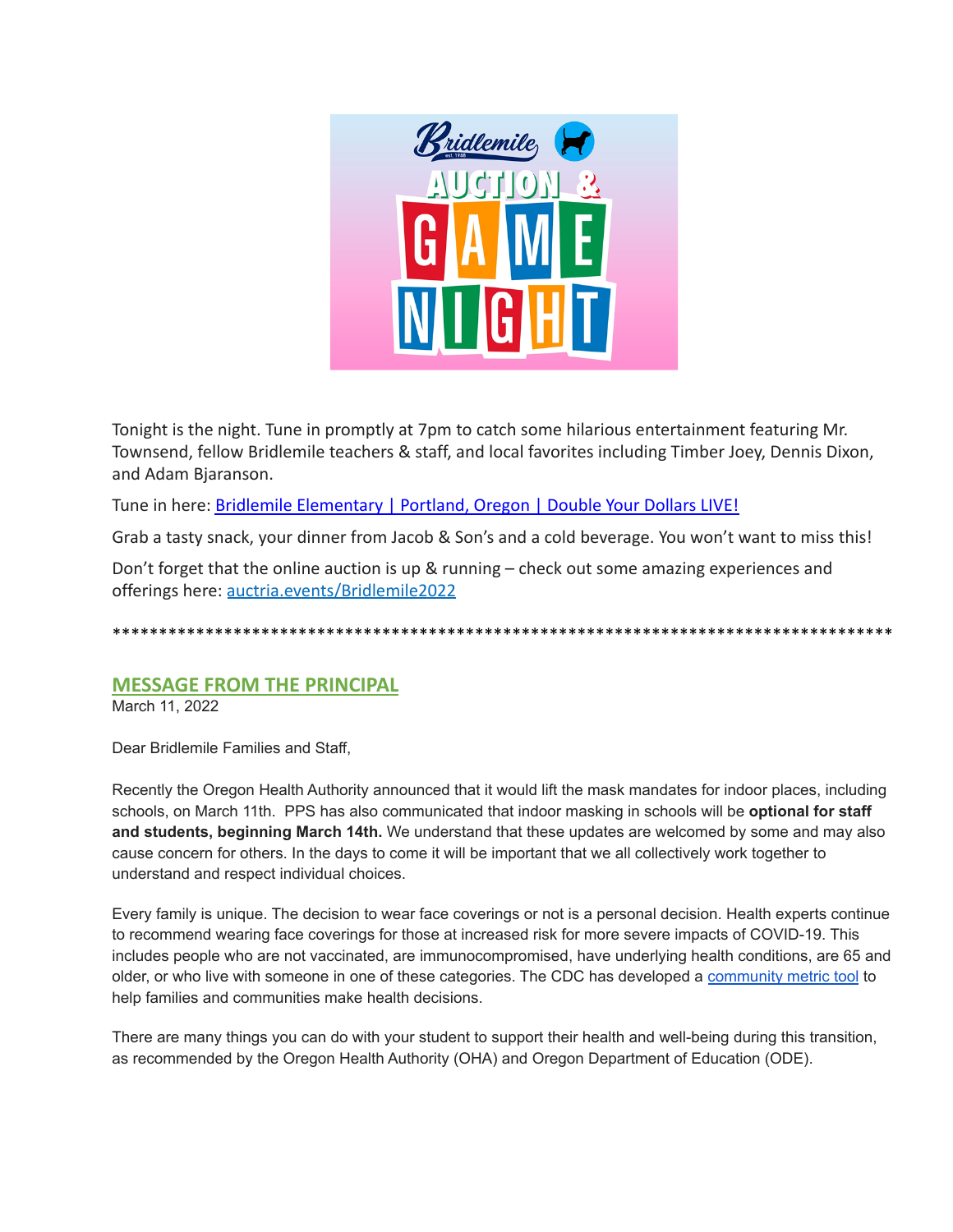

Tonight is the night. Tune in promptly at 7pm to catch some hilarious entertainment featuring Mr. Townsend, fellow Bridlemile teachers & staff, and local favorites including Timber Joey, Dennis Dixon, and Adam Bjaranson.

Tune in here: [Bridlemile Elementary | Portland, Oregon](http://url4609.membershiptoolkit.com/ls/click?upn=iKpa70ntmsIg0j801x7s-2B5iTnZd33XBD0jqnpov5LBJUtMpSDMdpc-2FoztbQT22nESDxaUD490TquFGCIKTpsEA-3D-3DSNn1_Qdx-2BbxSMwjYaQRh76YNxUQj2myVatjeEOuh-2FEif-2F9ODaaS4P2bC-2B4FJT2iDHxUAzcCIYqAwIUE9SQzmu1b4V4X7OSpn-2Fe4nMofTRxbiSt6mPGcDUl2X-2BY6cxVneTZp-2FsUT47okDKL0yDWSVdD6kPfE347SyhTKCnteql38Au07H7C5B-2FYPyh6JjWbAn-2BR-2FN5pcsphWjzZSus0NZVOI4-2BfgeGwOy7wJZYnwaZm-2Bivu8WSWAPJpMEouygR-2BDhC-2BEvwm1VWXUuGsjhtXNpeoYZor0AblBMvJlhjA7Jy0tx4qmYz1RiUSb3g6dFrqBKjBDRPrQeknkds0xJhrfSihy8wEw7v-2BAOM0QS-2BBLX5uCJZJVwNQmsi-2BZo3mCl-2B8dEvzeXL) | Double Your Dollars LIVE!

Grab a tasty snack, your dinner from Jacob & Son's and a cold beverage. You won't want to miss this!

Don't forget that the online auction is up & running – check out some amazing experiences and offerings here: [auctria.events/Bridlemile2022](http://url4609.membershiptoolkit.com/ls/click?upn=aWPCxfuwwHJ4PfGOcTKYKN-2FG3GFkO62pw-2BqEWrstizSWWweQH893AXJVSF-2FNZn3QT_WI_Qdx-2BbxSMwjYaQRh76YNxUQj2myVatjeEOuh-2FEif-2F9ODaaS4P2bC-2B4FJT2iDHxUAzcCIYqAwIUE9SQzmu1b4V4X7OSpn-2Fe4nMofTRxbiSt6mPGcDUl2X-2BY6cxVneTZp-2FsUT47okDKL0yDWSVdD6kPfE347SyhTKCnteql38Au07H7C5B-2FYPyh6JjWbAn-2BR-2FN53iLJMirDWVRe99q1OeSCCW6rCrmYrUiCLzl-2BNLenTx1cAye27hXT0jrcpzORlwfQt9HnYAhYjh-2FDTDjSaz04kUWGbZARKR75V0sUfLtN0kvXddYREbjsWEVshHw4KleTKM3atH1-2BmMaJUQ8nApVQ4iIiLGWL5s-2Bo1DZJCdLbWRFQjxqOQVWYM19azOkuoW91)

\*\*\*\*\*\*\*\*\*\*\*\*\*\*\*\*\*\*\*\*\*\*\*\*\*\*\*\*\*\*\*\*\*\*\*\*\*\*\*\*\*\*\*\*\*\*\*\*\*\*\*\*\*\*\*\*\*\*\*\*\*\*\*\*\*\*\*\*\*\*\*\*\*\*\*\*\*\*\*\*\*\*\*\*

### **MESSAGE FROM THE PRINCIPAL**

March 11, 2022

Dear Bridlemile Families and Staff,

Recently the Oregon Health Authority announced that it would lift the mask mandates for indoor places, including schools, on March 11th. PPS has also communicated that indoor masking in schools will be **optional for staff and students, beginning March 14th.** We understand that these updates are welcomed by some and may also cause concern for others. In the days to come it will be important that we all collectively work together to understand and respect individual choices.

Every family is unique. The decision to wear face coverings or not is a personal decision. Health experts continue to recommend wearing face coverings for those at increased risk for more severe impacts of COVID-19. This includes people who are not vaccinated, are immunocompromised, have underlying health conditions, are 65 and older, or who live with someone in one of these categories. The CDC has developed a [community](https://www.cdc.gov/coronavirus/2019-ncov/your-health/covid-by-county.html) metric tool to help families and communities make health decisions.

There are many things you can do with your student to support their health and well-being during this transition, as recommended by the Oregon Health Authority (OHA) and Oregon Department of Education (ODE).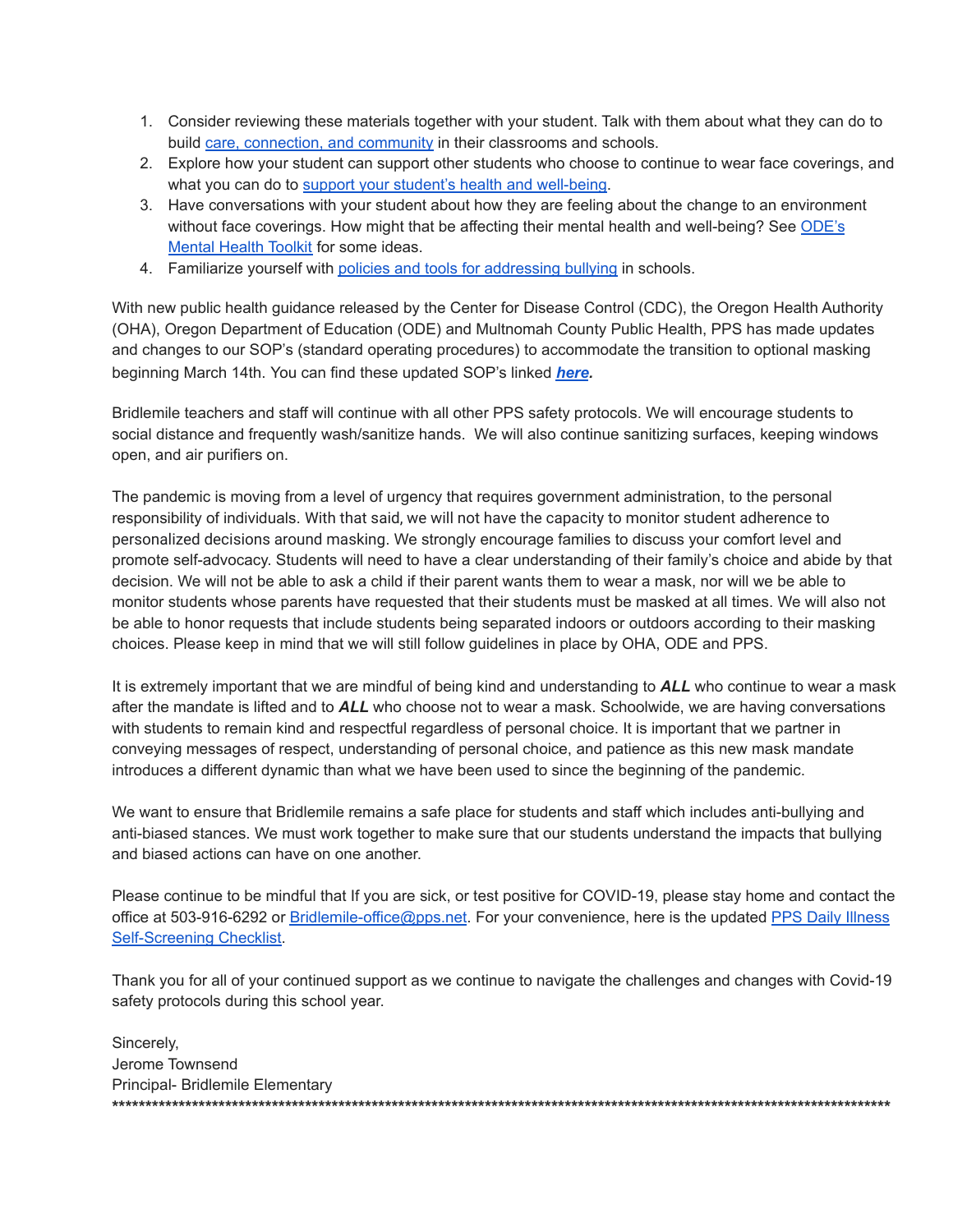- 1. Consider reviewing these materials together with your student. Talk with them about what they can do to build care, [connection,](https://www.oregon.gov/ode/students-and-family/equity/SchoolSafety/Pages/Announcements.aspx?utm_medium=email&utm_source=govdelivery6OuoSuS4FYUBVTesFXGnAkndAiY/edit?usp=sharing&ouid=118168639580975731375&rtpof=true&sd=true) and community in their classrooms and schools.
- 2. Explore how your student can support other students who choose to continue to wear face coverings, and what you can do to support your student's health and [well-being](https://www.oregon.gov/ode/students-and-family/equity/SchoolSafety/Pages/Mental-Health-Students-Families-Guidance.aspx).
- 3. Have conversations with your student about how they are feeling about the change to an environment without face coverings. How might that be affecting their mental health and well-being? See [ODE's](https://www.oregon.gov/ode/students-and-family/equity/SchoolSafety/Pages/Mental-Health-Toolkit.aspx) **[Mental](https://www.oregon.gov/ode/students-and-family/equity/SchoolSafety/Pages/Mental-Health-Toolkit.aspx) Health Toolkit for some ideas.**
- 4. Familiarize yourself with policies and tools for [addressing](https://www.oregon.gov/ode/students-and-family/healthsafety/Documents/bullyingguidance.pdf) bullying in schools.

With new public health guidance released by the Center for Disease Control (CDC), the Oregon Health Authority (OHA), Oregon Department of Education (ODE) and Multnomah County Public Health, PPS has made updates and changes to our SOP's (standard operating procedures) to accommodate the transition to optional masking beginning March 14th. You can find these updated SOP's linked *[here](https://www.pps.net/Page/18048).*

Bridlemile teachers and staff will continue with all other PPS safety protocols. We will encourage students to social distance and frequently wash/sanitize hands. We will also continue sanitizing surfaces, keeping windows open, and air purifiers on.

The pandemic is moving from a level of urgency that requires government administration, to the personal responsibility of individuals. With that said, we will not have the capacity to monitor student adherence to personalized decisions around masking. We strongly encourage families to discuss your comfort level and promote self-advocacy. Students will need to have a clear understanding of their family's choice and abide by that decision. We will not be able to ask a child if their parent wants them to wear a mask, nor will we be able to monitor students whose parents have requested that their students must be masked at all times. We will also not be able to honor requests that include students being separated indoors or outdoors according to their masking choices. Please keep in mind that we will still follow guidelines in place by OHA, ODE and PPS.

It is extremely important that we are mindful of being kind and understanding to *ALL* who continue to wear a mask after the mandate is lifted and to *ALL* who choose not to wear a mask. Schoolwide, we are having conversations with students to remain kind and respectful regardless of personal choice. It is important that we partner in conveying messages of respect, understanding of personal choice, and patience as this new mask mandate introduces a different dynamic than what we have been used to since the beginning of the pandemic.

We want to ensure that Bridlemile remains a safe place for students and staff which includes anti-bullying and anti-biased stances. We must work together to make sure that our students understand the impacts that bullying and biased actions can have on one another.

Please continue to be mindful that If you are sick, or test positive for COVID-19, please stay home and contact the office at 503-916-6292 or [Bridlemile-office@pps.net](mailto:Bridlemile-office@pps.net). For your convenience, here is the updated PPS Daily [Illness](https://www.pps.net/Page/18693) [Self-Screening](https://www.pps.net/Page/18693) Checklist.

Thank you for all of your continued support as we continue to navigate the challenges and changes with Covid-19 safety protocols during this school year.

Sincerely, Jerome Townsend Principal- Bridlemile Elementary **\*\*\*\*\*\*\*\*\*\*\*\*\*\*\*\*\*\*\*\*\*\*\*\*\*\*\*\*\*\*\*\*\*\*\*\*\*\*\*\*\*\*\*\*\*\*\*\*\*\*\*\*\*\*\*\*\*\*\*\*\*\*\*\*\*\*\*\*\*\*\*\*\*\*\*\*\*\*\*\*\*\*\*\*\*\*\*\*\*\*\*\*\*\*\*\*\*\*\*\*\*\*\*\*\*\*\*\*\*\*\*\*\*\*\*\*\***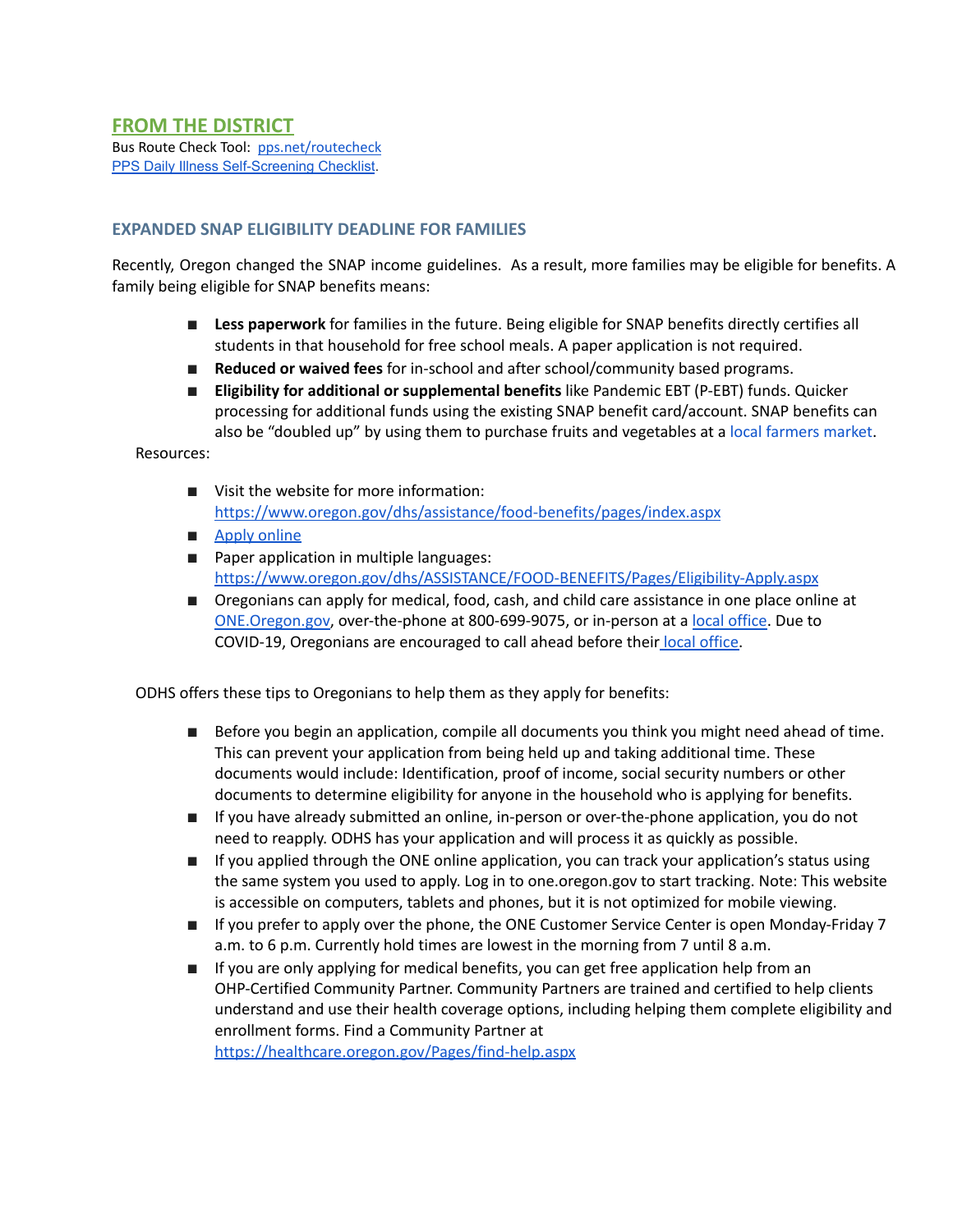#### **EXPANDED SNAP ELIGIBILITY DEADLINE FOR FAMILIES**

Recently, Oregon changed the SNAP income guidelines. As a result, more families may be eligible for benefits. A family being eligible for SNAP benefits means:

- **Less paperwork** for families in the future. Being eligible for SNAP benefits directly certifies all students in that household for free school meals. A paper application is not required.
- **Reduced or waived fees** for in-school and after school/community based programs.
- **Eligibility for additional or supplemental benefits** like Pandemic EBT (P-EBT) funds. Quicker processing for additional funds using the existing SNAP benefit card/account. SNAP benefits can also be "doubled up" by using them to purchase fruits and vegetables at a local [farmers](https://doubleuporegon.org/) market.

Resources:

- Visit the website for more information: <https://www.oregon.gov/dhs/assistance/food-benefits/pages/index.aspx>
- Apply [online](https://one.oregon.gov/)
- Paper application in multiple languages: <https://www.oregon.gov/dhs/ASSISTANCE/FOOD-BENEFITS/Pages/Eligibility-Apply.aspx>
- Oregonians can apply for medical, food, cash, and child care assis[t](https://one.oregon.gov/)ance in one place online at [ONE.Oregon.gov](https://one.oregon.gov/), over-the-phone at 800-699-9075, or in-person at a local [office](https://www.oregon.gov/dhs/Offices/Pages/Self-Sufficiency.aspx). Due to COVID-19, Oregonians are encouraged to call ahead before their local [office.](https://www.oregon.gov/dhs/Offices/Pages/Self-Sufficiency.aspx)

ODHS offers these tips to Oregonians to help them as they apply for benefits:

- Before you begin an application, compile all documents you think you might need ahead of time. This can prevent your application from being held up and taking additional time. These documents would include: Identification, proof of income, social security numbers or other documents to determine eligibility for anyone in the household who is applying for benefits.
- If you have already submitted an online, in-person or over-the-phone application, you do not need to reapply. ODHS has your application and will process it as quickly as possible.
- If you applied through the ONE online application, you can track your application's status using the same system you used to apply. Log in to one.oregon.gov to start tracking. Note: This website is accessible on computers, tablets and phones, but it is not optimized for mobile viewing.
- If you prefer to apply over the phone, the ONE Customer Service Center is open Monday-Friday 7 a.m. to 6 p.m. Currently hold times are lowest in the morning from 7 until 8 a.m.
- If you are only applying for medical benefits, you can get free application help from an OHP-Certified Community Partner. Community Partners are trained and certified to help clients understand and use their health coverage options, including helping them complete eligibility and enrollment forms. Find a Community Partner a[t](https://healthcare.oregon.gov/Pages/find-help.aspx) <https://healthcare.oregon.gov/Pages/find-help.aspx>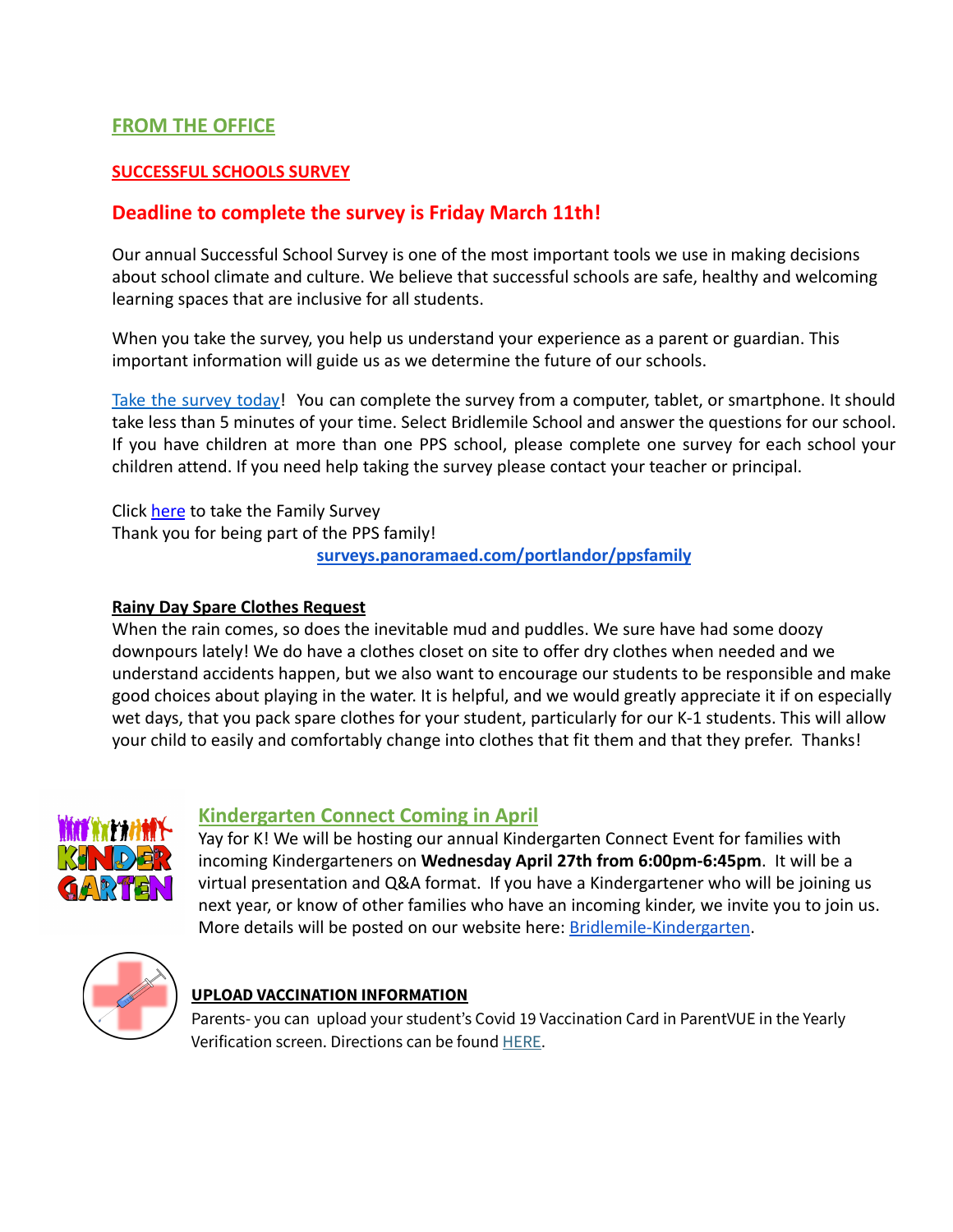## **FROM THE OFFICE**

#### **SUCCESSFUL SCHOOLS SURVEY**

## **Deadline to complete the survey is Friday March 11th!**

Our annual Successful School Survey is one of the most important tools we use in making decisions about school climate and culture. We believe that successful schools are safe, healthy and welcoming learning spaces that are inclusive for all students.

When you take the survey, you help us understand your experience as a parent or guardian. This important information will guide us as we determine the future of our schools.

Take the [survey](https://surveys.panoramaed.com/portlandor/ppsfamily/surveys?language=en) today! You can complete the survey from a computer, tablet, or smartphone. It should take less than 5 minutes of your time. Select Bridlemile School and answer the questions for our school. If you have children at more than one PPS school, please complete one survey for each school your children attend. If you need help taking the survey please contact your teacher or principal.

Click [here](https://surveys.panoramaed.com/portlandor/ppsfamily/surveys?language=en) to take the Family Survey Thank you for being part of the PPS family! **[surveys.panoramaed.com/portlandor/ppsfamily](http://surveys.panoramaed.com/portlandor/ppsfamily)**

#### **Rainy Day Spare Clothes Request**

When the rain comes, so does the inevitable mud and puddles. We sure have had some doozy downpours lately! We do have a clothes closet on site to offer dry clothes when needed and we understand accidents happen, but we also want to encourage our students to be responsible and make good choices about playing in the water. It is helpful, and we would greatly appreciate it if on especially wet days, that you pack spare clothes for your student, particularly for our K-1 students. This will allow your child to easily and comfortably change into clothes that fit them and that they prefer. Thanks!



### **Kindergarten Connect Coming in April**

Yay for K! We will be hosting our annual Kindergarten Connect Event for families with incoming Kindergarteners on **Wednesday April 27th from 6:00pm-6:45pm**. It will be a virtual presentation and Q&A format. If you have a Kindergartener who will be joining us next year, or know of other families who have an incoming kinder, we invite you to join us. More details will be posted on our website here: [Bridlemile-Kindergarten](https://www.pps.net/domain/6393).



### **UPLOAD VACCINATION INFORMATION**

Parents- you can upload your student's Covid 19 Vaccination Card in ParentVUE in the Yearly Verification screen. Directions can be found [HERE](https://docs.google.com/document/d/1AxHhVVEjAqJxV1Vuh9PnfwkZHcp-Tde_x6iFOOEy58Y/edit).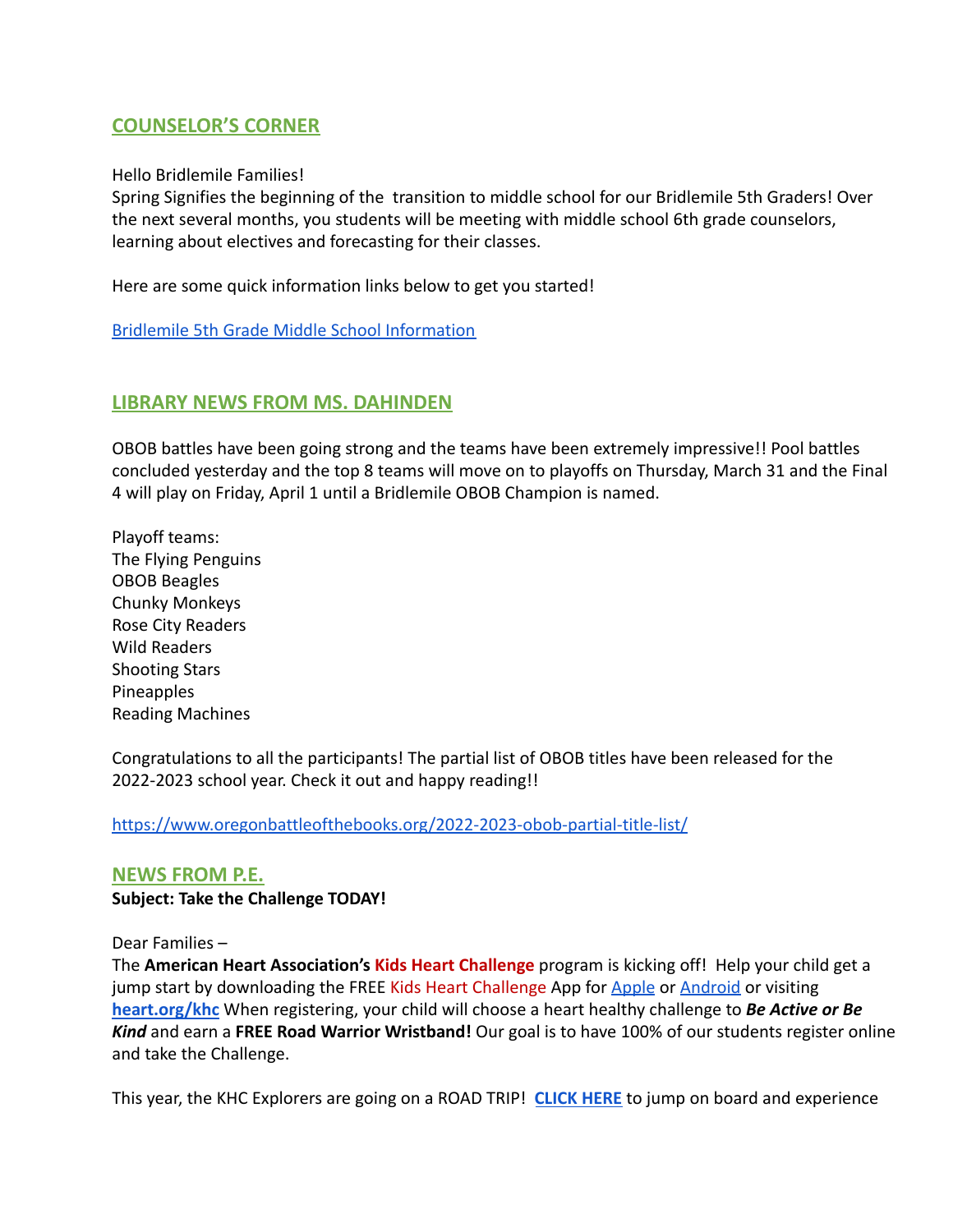### **COUNSELOR'S CORNER**

Hello Bridlemile Families!

Spring Signifies the beginning of the transition to middle school for our Bridlemile 5th Graders! Over the next several months, you students will be meeting with middle school 6th grade counselors, learning about electives and forecasting for their classes.

Here are some quick information links below to get you started!

[Bridlemile 5th Grade Middle School Information](https://docs.google.com/document/d/1BR5XcTqqNwIQ5ag2wyqrzqGjE3yJEacS4kML1ScHVY0/edit?usp=sharing)

### **LIBRARY NEWS FROM MS. DAHINDEN**

OBOB battles have been going strong and the teams have been extremely impressive!! Pool battles concluded yesterday and the top 8 teams will move on to playoffs on Thursday, March 31 and the Final 4 will play on Friday, April 1 until a Bridlemile OBOB Champion is named.

Playoff teams: The Flying Penguins OBOB Beagles Chunky Monkeys Rose City Readers Wild Readers Shooting Stars Pineapples Reading Machines

Congratulations to all the participants! The partial list of OBOB titles have been released for the 2022-2023 school year. Check it out and happy reading!!

<https://www.oregonbattleofthebooks.org/2022-2023-obob-partial-title-list/>

### **NEWS FROM P.E.**

**Subject: Take the Challenge TODAY!**

Dear Families –

The **American Heart Association's Kids Heart Challenge** program is kicking off! Help your child get a jump start by downloading the FREE Kids Heart Challenge App for [Apple](https://play.google.com/store/apps/details?mt=8) or [Android](http://www.heart.org/educationalresources?id=com.aha_jump.android.communicator&hl=en) or visiting **[heart.org/khc](https://www2.heart.org/site/TR?pg=company&fr_id=6322&company_id=348036.)** When registering, your child will choose a heart healthy challenge to *Be Active or Be Kind* and earn a **FREE Road Warrior Wristband!** Our goal is to have 100% of our students register online and take the Challenge.

This year, the KHC Explorers are going on a ROAD TRIP! **[CLICK HERE](https://docs.google.com/presentation/d/e/2PACX-1vSEhmGuyHHu0yXmvDP9ifrfBLZ1WpfGQ_-YhKjK-6YLfNCy1qR7LTRJF08wNdqpT2pvhLv4TyOCpxtw/pub?start=false&loop=false&delayms=60000&slide=id.p)** to jump on board and experience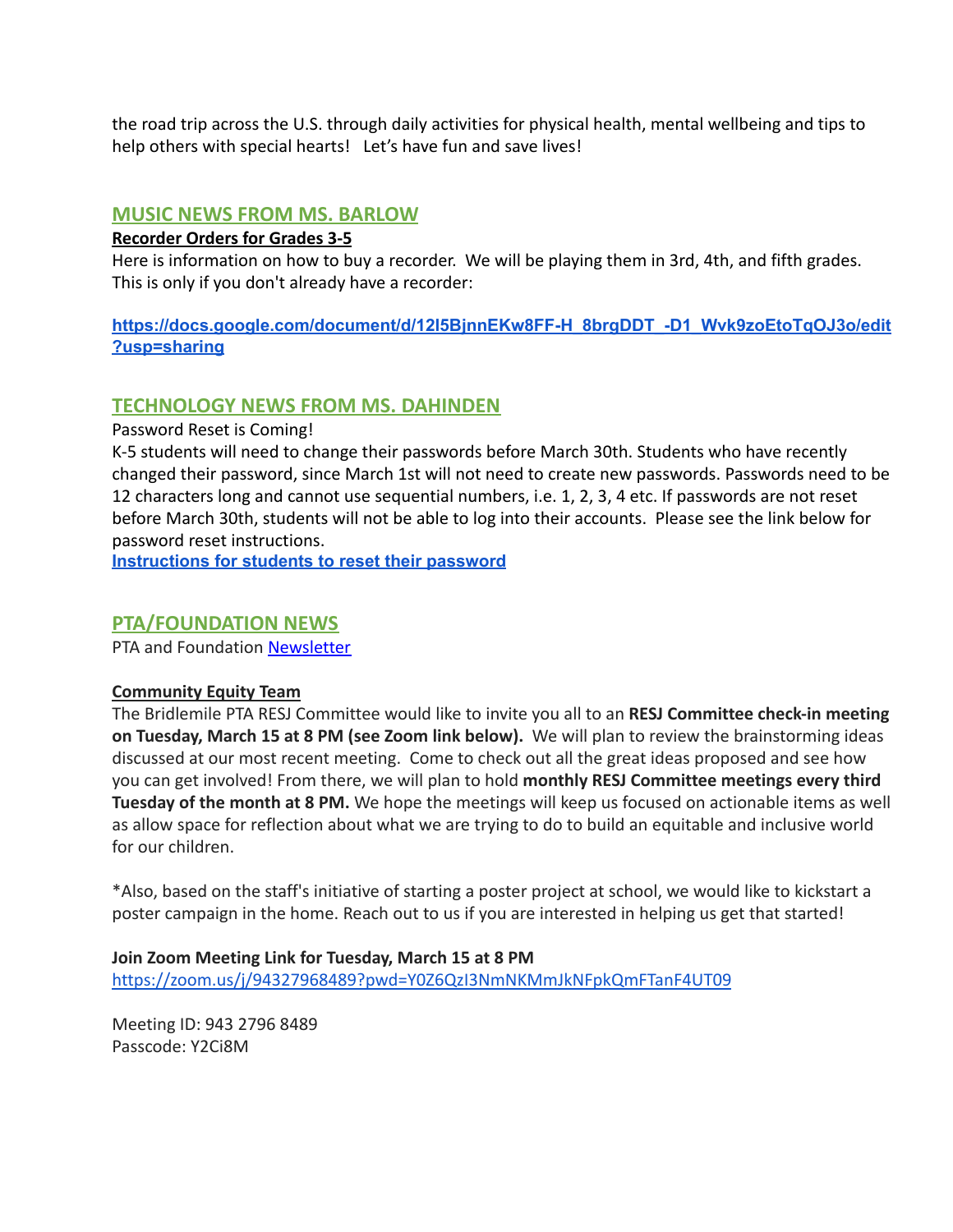the road trip across the U.S. through daily activities for physical health, mental wellbeing and tips to help others with special hearts! Let's have fun and save lives!

### **MUSIC NEWS FROM MS. BARLOW**

#### **Recorder Orders for Grades 3-5**

Here is information on how to buy a recorder. We will be playing them in 3rd, 4th, and fifth grades. This is only if you don't already have a recorder:

**[https://docs.google.com/document/d/12l5BjnnEKw8FF-H\\_8brgDDT\\_-D1\\_Wvk9zoEtoTqOJ3o/edit](https://docs.google.com/document/d/12l5BjnnEKw8FF-H_8brgDDT_-D1_Wvk9zoEtoTqOJ3o/edit?usp=sharing) [?usp=sharing](https://docs.google.com/document/d/12l5BjnnEKw8FF-H_8brgDDT_-D1_Wvk9zoEtoTqOJ3o/edit?usp=sharing)**

### **TECHNOLOGY NEWS FROM MS. DAHINDEN**

Password Reset is Coming!

K-5 students will need to change their passwords before March 30th. Students who have recently changed their password, since March 1st will not need to create new passwords. Passwords need to be 12 characters long and cannot use sequential numbers, i.e. 1, 2, 3, 4 etc. If passwords are not reset before March 30th, students will not be able to log into their accounts. Please see the link below for password reset instructions.

**[Instructions](https://support.pps.net/support/solutions/articles/8000076103-how-to-using-the-my-pps-portal-to-reset-your-password) for students to reset their password**

### **PTA/FOUNDATION NEWS**

PTA and Foundation [Newsletter](https://docs.google.com/document/u/1/d/e/2PACX-1vQlZCPHtKxqO7qpJwiwgoeaZ1ERHVLgg6z0JNYJMTulwn7xlOVY_X2I1ZV9nntsGHP57LEZ_uSufaFj/pub)

#### **Community Equity Team**

The Bridlemile PTA RESJ Committee would like to invite you all to an **RESJ Committee check-in meeting on Tuesday, March 15 at 8 PM (see Zoom link below).** We will plan to review the brainstorming ideas discussed at our most recent meeting. Come to check out all the great ideas proposed and see how you can get involved! From there, we will plan to hold **monthly RESJ Committee meetings every third Tuesday of the month at 8 PM.** We hope the meetings will keep us focused on actionable items as well as allow space for reflection about what we are trying to do to build an equitable and inclusive world for our children.

\*Also, based on the staff's initiative of starting a poster project at school, we would like to kickstart a poster campaign in the home. Reach out to us if you are interested in helping us get that started!

**Join Zoom Meeting Link for Tuesday, March 15 at 8 PM** <https://zoom.us/j/94327968489?pwd=Y0Z6QzI3NmNKMmJkNFpkQmFTanF4UT09>

Meeting ID: 943 2796 8489 Passcode: Y2Ci8M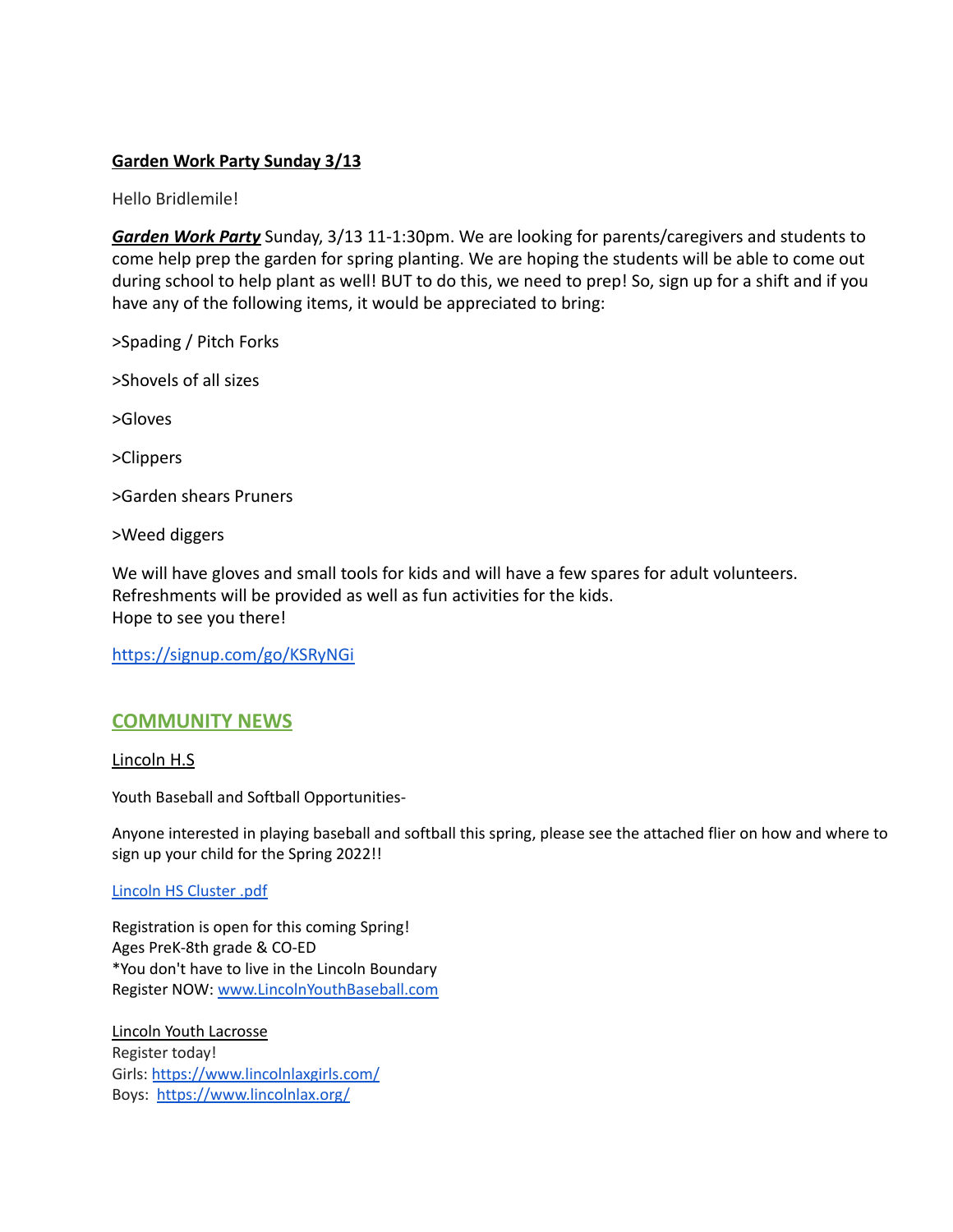#### **Garden Work Party Sunday 3/13**

Hello Bridlemile!

*Garden Work Party* Sunday, 3/13 11-1:30pm. We are looking for parents/caregivers and students to come help prep the garden for spring planting. We are hoping the students will be able to come out during school to help plant as well! BUT to do this, we need to prep! So, sign up for a shift and if you have any of the following items, it would be appreciated to bring:

>Spading / Pitch Forks

>Shovels of all sizes

>Gloves

>Clippers

>Garden shears Pruners

>Weed diggers

We will have gloves and small tools for kids and will have a few spares for adult volunteers. Refreshments will be provided as well as fun activities for the kids. Hope to see you there!

<https://signup.com/go/KSRyNGi>

### **COMMUNITY NEWS**

Lincoln H.S

Youth Baseball and Softball Opportunities-

Anyone interested in playing baseball and softball this spring, please see the attached flier on how and where to sign up your child for the Spring 2022!!

#### [Lincoln](http://track.spe.schoolmessenger.com/f/a/txbzMn3cpb2R1y9wPM0mxw~~/AAAAAQA~/RgRj5_v5P0R1aHR0cHM6Ly9tc2cuc2Nob29sbWVzc2VuZ2VyLmNvbS9tLz9zPVl0UEZ2S2RyM1p3Jm1hbD00YmQ3ZDc0NDVhZjg0NDc0YWU4MDEzYmJmNmRjMTJjNDZiZWEyMzc3OWJjZDNjNjAwNjAzNzQ3NmYwNWUxMzRkVwdzY2hvb2xtQgpiBXnIBmIv785qUhBkYnVybGluZ0BwcHMubmV0WAQAAAAB) HS Cluster .pdf

Registration is open for this coming Spring! Ages PreK-8th grade & CO-ED \*You don't have to live in the Lincoln Boundary Register NOW: [www.LincolnYouthBaseball.com](http://www.lincolnyouthbaseball.com/)

Lincoln Youth Lacrosse Register today! Girls: <https://www.lincolnlaxgirls.com/> Boys: <https://www.lincolnlax.org/>